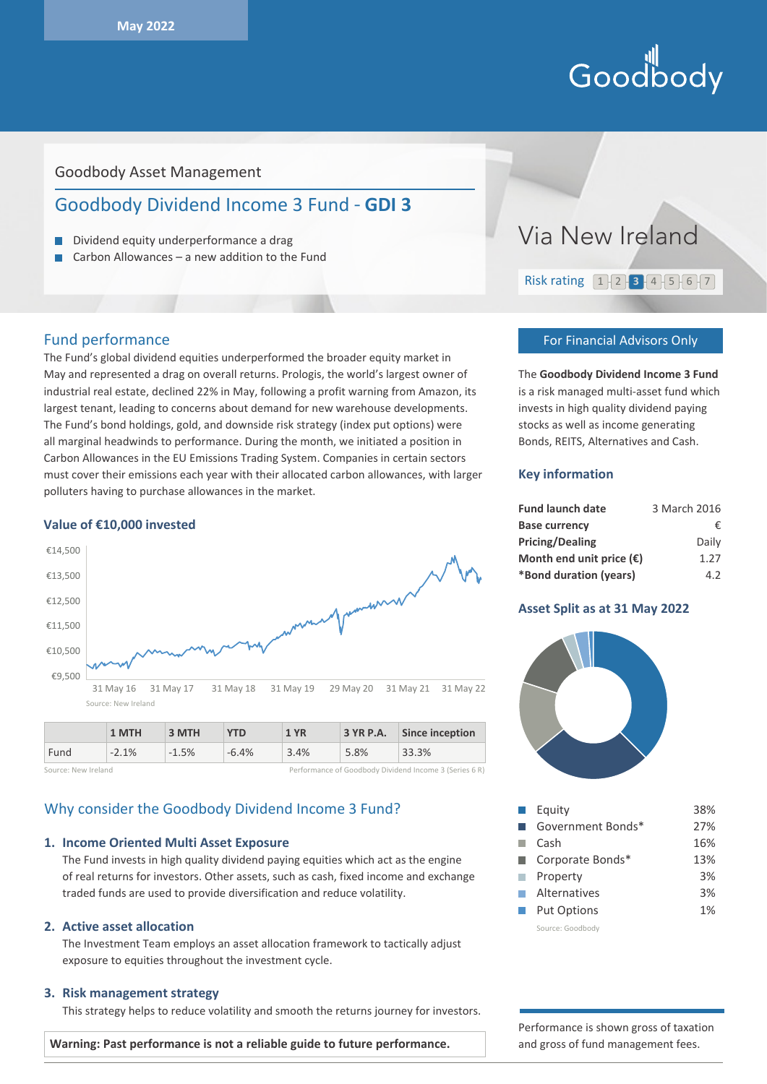# Hill<br>Goodbody

# Goodbody Asset Management

# Goodbody Dividend Income 3 Fund - **GDI 3**

- Dividend equity underperformance a drag
- Carbon Allowances a new addition to the Fund

# Fund performance

The Fund's global dividend equities underperformed the broader equity market in May and represented a drag on overall returns. Prologis, the world's largest owner of industrial real estate, declined 22% in May, following a profit warning from Amazon, its largest tenant, leading to concerns about demand for new warehouse developments. The Fund's bond holdings, gold, and downside risk strategy (index put options) were all marginal headwinds to performance. During the month, we initiated a position in Carbon Allowances in the EU Emissions Trading System. Companies in certain sectors must cover their emissions each year with their allocated carbon allowances, with larger polluters having to purchase allowances in the market.

#### **Value of €10,000 invested**



|                     | 1 MTH   | 3 MTH   | <b>YTD</b> | 1 YR | 3 YR P.A. | Since inception                                        |
|---------------------|---------|---------|------------|------|-----------|--------------------------------------------------------|
| Fund                | $-2.1%$ | $-1.5%$ | $-6.4%$    | 3.4% | 5.8%      | 33.3%                                                  |
| Source: New Ireland |         |         |            |      |           | Performance of Goodbody Dividend Income 3 (Series 6 R) |

# Why consider the Goodbody Dividend Income 3 Fund?

#### **1. Income Oriented Multi Asset Exposure**

The Fund invests in high quality dividend paying equities which act as the engine of real returns for investors. Other assets, such as cash, fixed income and exchange traded funds are used to provide diversification and reduce volatility.

#### **2. Active asset allocation**

The Investment Team employs an asset allocation framework to tactically adjust exposure to equities throughout the investment cycle.

#### **3. Risk management strategy**

This strategy helps to reduce volatility and smooth the returns journey for investors.



#### For Financial Advisors Only

The **Goodbody Dividend Income 3 Fund** is a risk managed multi-asset fund which invests in high quality dividend paying stocks as well as income generating Bonds, REITS, Alternatives and Cash.

#### **Key information**

| <b>Fund launch date</b>           | 3 March 2016 |
|-----------------------------------|--------------|
| <b>Base currency</b>              | €.           |
| <b>Pricing/Dealing</b>            | Daily        |
| Month end unit price $(\epsilon)$ | 1.27         |
| *Bond duration (years)            | 4.2          |

#### **Asset Split as at 31 May 2022**



|                             | Equity             | 38% |
|-----------------------------|--------------------|-----|
|                             | Government Bonds*  | 27% |
|                             | Cash               | 16% |
|                             | Corporate Bonds*   | 13% |
|                             | Property           | 3%  |
| $\mathcal{L}^{\mathcal{A}}$ | Alternatives       | 3%  |
|                             | <b>Put Options</b> | 1%  |
|                             | Source: Goodbody   |     |

Performance is shown gross of taxation and gross of fund management fees.

**Warning: Past performance is not a reliable guide to future performance.**